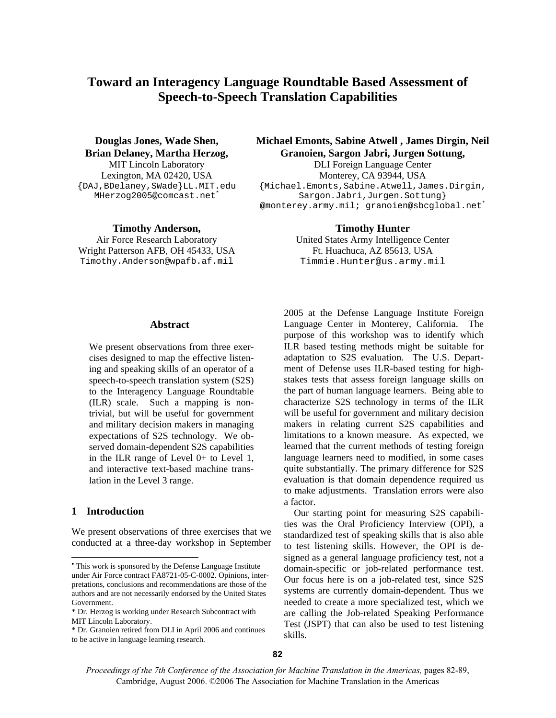# **Toward an Interagency Language Roundtable Based Assessment of Speech-to-Speech Translation Capabilities**

**Douglas Jones, Wade Shen, Brian Delaney, Martha Herzog,** 

{DAJ,BDelaney,SWade}LL.MIT.edu MHerzog2005@comcast.net\*

**Timothy Anderson, Timothy Hunter** 

Wright Patterson AFB, OH 45433, USA Ft. Huachuca, AZ 85613, USA Timothy.Anderson@wpafb.af.mil Timmie.Hunter@us.army.mil

# **Michael Emonts, Sabine Atwell , James Dirgin, Neil Granoien, Sargon Jabri, Jurgen Sottung,**

MIT Lincoln Laboratory DLI Foreign Language Center Lexington, MA 02420, USA Monterey, CA 93944, USA {Michael.Emonts,Sabine.Atwell,James.Dirgin, Sargon.Jabri,Jurgen.Sottung} @monterey.army.mil; granoien@sbcglobal.net<sup>\*</sup>

Air Force Research Laboratory United States Army Intelligence Center

#### **Abstract**•

We present observations from three exercises designed to map the effective listening and speaking skills of an operator of a speech-to-speech translation system (S2S) to the Interagency Language Roundtable (ILR) scale. Such a mapping is nontrivial, but will be useful for government and military decision makers in managing expectations of S2S technology. We observed domain-dependent S2S capabilities in the ILR range of Level 0+ to Level 1, and interactive text-based machine translation in the Level 3 range.

### **1 Introduction**

 $\overline{a}$ 

We present observations of three exercises that we conducted at a three-day workshop in September 2005 at the Defense Language Institute Foreign Language Center in Monterey, California. The purpose of this workshop was to identify which ILR based testing methods might be suitable for adaptation to S2S evaluation. The U.S. Department of Defense uses ILR-based testing for highstakes tests that assess foreign language skills on the part of human language learners. Being able to characterize S2S technology in terms of the ILR will be useful for government and military decision makers in relating current S2S capabilities and limitations to a known measure. As expected, we learned that the current methods of testing foreign language learners need to modified, in some cases quite substantially. The primary difference for S2S evaluation is that domain dependence required us to make adjustments. Translation errors were also a factor.

Our starting point for measuring S2S capabilities was the Oral Proficiency Interview (OPI), a standardized test of speaking skills that is also able to test listening skills. However, the OPI is designed as a general language proficiency test, not a domain-specific or job-related performance test. Our focus here is on a job-related test, since S2S systems are currently domain-dependent. Thus we needed to create a more specialized test, which we are calling the Job-related Speaking Performance Test (JSPT) that can also be used to test listening skills.

*Proceedings of the 7th Conference of the Association for Machine Translation in the Americas,* pages 82-89, Cambridge, August 2006. ©2006 The Association for Machine Translation in the Americas

<sup>•</sup> This work is sponsored by the Defense Language Institute under Air Force contract FA8721-05-C-0002. Opinions, interpretations, conclusions and recommendations are those of the authors and are not necessarily endorsed by the United States Government.

<sup>\*</sup> Dr. Herzog is working under Research Subcontract with MIT Lincoln Laboratory.

<sup>\*</sup> Dr. Granoien retired from DLI in April 2006 and continues to be active in language learning research.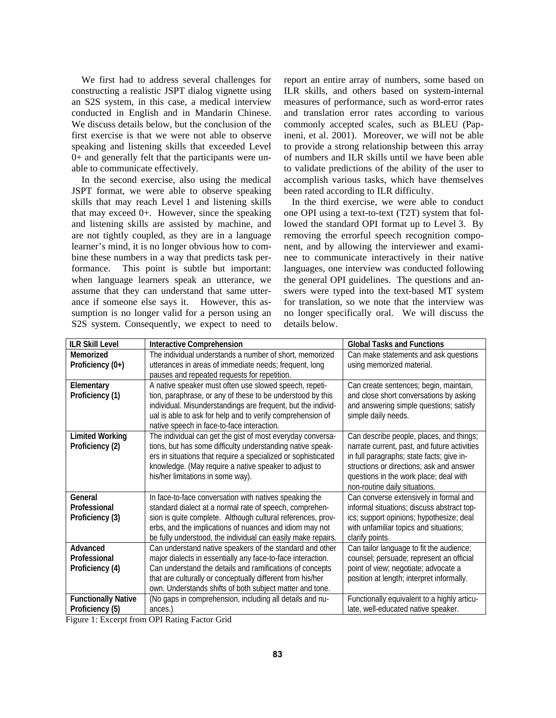We first had to address several challenges for constructing a realistic JSPT dialog vignette using an S2S system, in this case, a medical interview conducted in English and in Mandarin Chinese. We discuss details below, but the conclusion of the first exercise is that we were not able to observe speaking and listening skills that exceeded Level 0+ and generally felt that the participants were unable to communicate effectively.

In the second exercise, also using the medical JSPT format, we were able to observe speaking skills that may reach Level 1 and listening skills that may exceed 0+. However, since the speaking and listening skills are assisted by machine, and are not tightly coupled, as they are in a language learner's mind, it is no longer obvious how to combine these numbers in a way that predicts task performance. This point is subtle but important: when language learners speak an utterance, we assume that they can understand that same utterance if someone else says it. However, this assumption is no longer valid for a person using an S2S system. Consequently, we expect to need to report an entire array of numbers, some based on ILR skills, and others based on system-internal measures of performance, such as word-error rates and translation error rates according to various commonly accepted scales, such as BLEU (Papineni, et al. 2001). Moreover, we will not be able to provide a strong relationship between this array of numbers and ILR skills until we have been able to validate predictions of the ability of the user to accomplish various tasks, which have themselves been rated according to ILR difficulty.

In the third exercise, we were able to conduct one OPI using a text-to-text (T2T) system that followed the standard OPI format up to Level 3. By removing the errorful speech recognition component, and by allowing the interviewer and examinee to communicate interactively in their native languages, one interview was conducted following the general OPI guidelines. The questions and answers were typed into the text-based MT system for translation, so we note that the interview was no longer specifically oral. We will discuss the details below.

| <b>ILR Skill Level</b>     | <b>Interactive Comprehension</b>                              | <b>Global Tasks and Functions</b>            |
|----------------------------|---------------------------------------------------------------|----------------------------------------------|
| Memorized                  | The individual understands a number of short, memorized       | Can make statements and ask questions        |
| Proficiency (0+)           | utterances in areas of immediate needs; frequent, long        | using memorized material.                    |
|                            | pauses and repeated requests for repetition.                  |                                              |
| Elementary                 | A native speaker must often use slowed speech, repeti-        | Can create sentences; begin, maintain,       |
| Proficiency (1)            | tion, paraphrase, or any of these to be understood by this    | and close short conversations by asking      |
|                            | individual. Misunderstandings are frequent, but the individ-  | and answering simple questions; satisfy      |
|                            | ual is able to ask for help and to verify comprehension of    | simple daily needs.                          |
|                            | native speech in face-to-face interaction.                    |                                              |
| <b>Limited Working</b>     | The individual can get the gist of most everyday conversa-    | Can describe people, places, and things;     |
| Proficiency (2)            | tions, but has some difficulty understanding native speak-    | narrate current, past, and future activities |
|                            | ers in situations that require a specialized or sophisticated | in full paragraphs; state facts; give in-    |
|                            | knowledge. (May require a native speaker to adjust to         | structions or directions; ask and answer     |
|                            | his/her limitations in some way).                             | questions in the work place; deal with       |
|                            |                                                               | non-routine daily situations.                |
| General                    | In face-to-face conversation with natives speaking the        | Can converse extensively in formal and       |
| Professional               | standard dialect at a normal rate of speech, comprehen-       | informal situations; discuss abstract top-   |
| Proficiency (3)            | sion is quite complete. Although cultural references, prov-   | ics; support opinions; hypothesize; deal     |
|                            | erbs, and the implications of nuances and idiom may not       | with unfamiliar topics and situations;       |
|                            | be fully understood, the individual can easily make repairs.  | clarify points.                              |
| Advanced                   | Can understand native speakers of the standard and other      | Can tailor language to fit the audience;     |
| Professional               | major dialects in essentially any face-to-face interaction.   | counsel; persuade; represent an official     |
| Proficiency (4)            | Can understand the details and ramifications of concepts      | point of view; negotiate; advocate a         |
|                            | that are culturally or conceptually different from his/her    | position at length; interpret informally.    |
|                            | own. Understands shifts of both subject matter and tone.      |                                              |
| <b>Functionally Native</b> | (No gaps in comprehension, including all details and nu-      | Functionally equivalent to a highly articu-  |
| Proficiency (5)            | ances.)                                                       | late, well-educated native speaker.          |

Figure 1: Excerpt from OPI Rating Factor Grid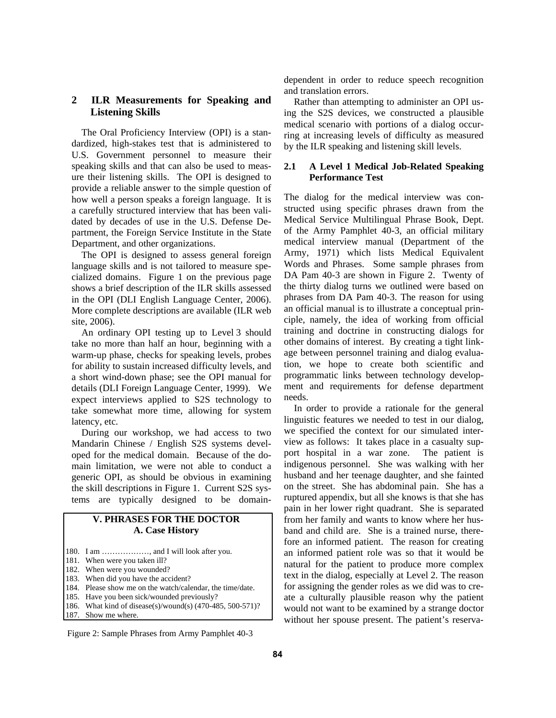## **2 ILR Measurements for Speaking and Listening Skills**

The Oral Proficiency Interview (OPI) is a standardized, high-stakes test that is administered to U.S. Government personnel to measure their speaking skills and that can also be used to measure their listening skills. The OPI is designed to provide a reliable answer to the simple question of how well a person speaks a foreign language. It is a carefully structured interview that has been validated by decades of use in the U.S. Defense Department, the Foreign Service Institute in the State Department, and other organizations.

The OPI is designed to assess general foreign language skills and is not tailored to measure specialized domains. Figure 1 on the previous page shows a brief description of the ILR skills assessed in the OPI (DLI English Language Center, 2006). More complete descriptions are available (ILR web site, 2006).

An ordinary OPI testing up to Level 3 should take no more than half an hour, beginning with a warm-up phase, checks for speaking levels, probes for ability to sustain increased difficulty levels, and a short wind-down phase; see the OPI manual for details (DLI Foreign Language Center, 1999). We expect interviews applied to S2S technology to take somewhat more time, allowing for system latency, etc.

During our workshop, we had access to two Mandarin Chinese / English S2S systems developed for the medical domain. Because of the domain limitation, we were not able to conduct a generic OPI, as should be obvious in examining the skill descriptions in Figure 1. Current S2S systems are typically designed to be domain-

# **V. PHRASES FOR THE DOCTOR A. Case History**

- 180. I am ………………, and I will look after you.
- 181. When were you taken ill?
- 182. When were you wounded?
- 183. When did you have the accident?
- 184. Please show me on the watch/calendar, the time/date.
- 185. Have you been sick/wounded previously? 186. What kind of disease(s)/wound(s) (470-485, 500-571)?
- 187. Show me where.
- Figure 2: Sample Phrases from Army Pamphlet 40-3

dependent in order to reduce speech recognition and translation errors.

Rather than attempting to administer an OPI using the S2S devices, we constructed a plausible medical scenario with portions of a dialog occurring at increasing levels of difficulty as measured by the ILR speaking and listening skill levels.

# **2.1 A Level 1 Medical Job-Related Speaking Performance Test**

The dialog for the medical interview was constructed using specific phrases drawn from the Medical Service Multilingual Phrase Book, Dept. of the Army Pamphlet 40-3, an official military medical interview manual (Department of the Army, 1971) which lists Medical Equivalent Words and Phrases. Some sample phrases from DA Pam 40-3 are shown in Figure 2. Twenty of the thirty dialog turns we outlined were based on phrases from DA Pam 40-3. The reason for using an official manual is to illustrate a conceptual principle, namely, the idea of working from official training and doctrine in constructing dialogs for other domains of interest. By creating a tight linkage between personnel training and dialog evaluation, we hope to create both scientific and programmatic links between technology development and requirements for defense department needs.

In order to provide a rationale for the general linguistic features we needed to test in our dialog, we specified the context for our simulated interview as follows: It takes place in a casualty support hospital in a war zone. The patient is indigenous personnel. She was walking with her husband and her teenage daughter, and she fainted on the street. She has abdominal pain. She has a ruptured appendix, but all she knows is that she has pain in her lower right quadrant. She is separated from her family and wants to know where her husband and child are. She is a trained nurse, therefore an informed patient. The reason for creating an informed patient role was so that it would be natural for the patient to produce more complex text in the dialog, especially at Level 2. The reason for assigning the gender roles as we did was to create a culturally plausible reason why the patient would not want to be examined by a strange doctor without her spouse present. The patient's reserva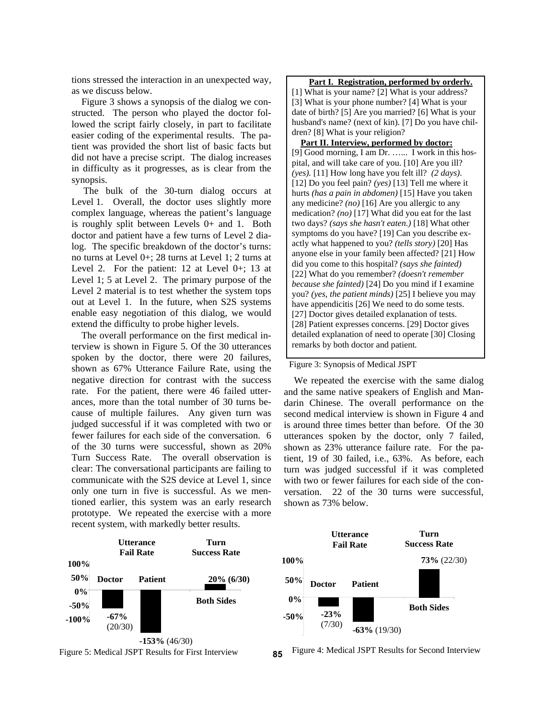tions stressed the interaction in an unexpected way, as we discuss below.

Figure 3 shows a synopsis of the dialog we constructed. The person who played the doctor followed the script fairly closely, in part to facilitate easier coding of the experimental results. The patient was provided the short list of basic facts but did not have a precise script. The dialog increases in difficulty as it progresses, as is clear from the synopsis.

The bulk of the 30-turn dialog occurs at Level 1. Overall, the doctor uses slightly more complex language, whereas the patient's language is roughly split between Levels 0+ and 1. Both doctor and patient have a few turns of Level 2 dialog. The specific breakdown of the doctor's turns: no turns at Level 0+; 28 turns at Level 1; 2 turns at Level 2. For the patient: 12 at Level 0+; 13 at Level 1; 5 at Level 2. The primary purpose of the Level 2 material is to test whether the system tops out at Level 1. In the future, when S2S systems enable easy negotiation of this dialog, we would extend the difficulty to probe higher levels.

The overall performance on the first medical interview is shown in Figure 5. Of the 30 utterances spoken by the doctor, there were 20 failures, shown as 67% Utterance Failure Rate, using the negative direction for contrast with the success rate. For the patient, there were 46 failed utterances, more than the total number of 30 turns because of multiple failures. Any given turn was judged successful if it was completed with two or fewer failures for each side of the conversation. 6 of the 30 turns were successful, shown as 20% Turn Success Rate. The overall observation is clear: The conversational participants are failing to communicate with the S2S device at Level 1, since only one turn in five is successful. As we mentioned earlier, this system was an early research prototype. We repeated the exercise with a more recent system, with markedly better results.

#### **Part I. Registration, performed by orderly.**

[1] What is your name? [2] What is your address? [3] What is your phone number? [4] What is your date of birth? [5] Are you married? [6] What is your husband's name? (next of kin). [7] Do you have children? [8] What is your religion?

**Part II. Interview, performed by doctor:** [9] Good morning, I am Dr. …... I work in this hospital, and will take care of you. [10] Are you ill? *(yes).* [11] How long have you felt ill? *(2 days)*. [12] Do you feel pain? *(yes)* [13] Tell me where it hurts *(has a pain in abdomen)* [15] Have you taken any medicine? *(no)* [16] Are you allergic to any medication? *(no)* [17] What did you eat for the last two days? *(says she hasn't eaten.)* [18] What other symptoms do you have? [19] Can you describe exactly what happened to you? *(tells story)* [20] Has anyone else in your family been affected? [21] How did you come to this hospital? *(says she fainted)* [22] What do you remember? *(doesn't remember because she fainted)* [24] Do you mind if I examine you? *(yes, the patient minds)* [25] I believe you may have appendicitis [26] We need to do some tests. [27] Doctor gives detailed explanation of tests. [28] Patient expresses concerns. [29] Doctor gives detailed explanation of need to operate [30] Closing remarks by both doctor and patient*.* 

#### Figure 3: Synopsis of Medical JSPT

We repeated the exercise with the same dialog and the same native speakers of English and Mandarin Chinese. The overall performance on the second medical interview is shown in Figure 4 and is around three times better than before. Of the 30 utterances spoken by the doctor, only 7 failed, shown as 23% utterance failure rate. For the patient, 19 of 30 failed, i.e., 63%. As before, each turn was judged successful if it was completed with two or fewer failures for each side of the conversation. 22 of the 30 turns were successful, shown as 73% below.





Figure 5: Medical JSPT Results for First Interview **85** Figure 4: Medical JSPT Results for Second Interview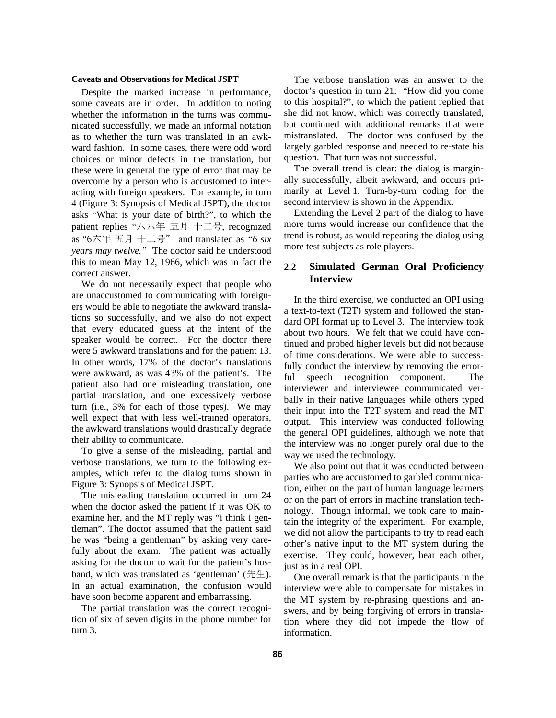#### **Caveats and Observations for Medical JSPT**

Despite the marked increase in performance, some caveats are in order. In addition to noting whether the information in the turns was communicated successfully, we made an informal notation as to whether the turn was translated in an awkward fashion. In some cases, there were odd word choices or minor defects in the translation, but these were in general the type of error that may be overcome by a person who is accustomed to interacting with foreign speakers. For example, in turn 4 (Figure 3: Synopsis of Medical JSPT), the doctor asks "What is your date of birth?", to which the patient replies "六六年 五月 十二号, recognized as "6六年 五月 十二号" and translated as *"6 six years may twelve."* The doctor said he understood this to mean May 12, 1966, which was in fact the correct answer.

We do not necessarily expect that people who are unaccustomed to communicating with foreigners would be able to negotiate the awkward translations so successfully, and we also do not expect that every educated guess at the intent of the speaker would be correct. For the doctor there were 5 awkward translations and for the patient 13. In other words, 17% of the doctor's translations were awkward, as was 43% of the patient's. The patient also had one misleading translation, one partial translation, and one excessively verbose turn (i.e., 3% for each of those types). We may well expect that with less well-trained operators, the awkward translations would drastically degrade their ability to communicate.

To give a sense of the misleading, partial and verbose translations, we turn to the following examples, which refer to the dialog turns shown in Figure 3: Synopsis of Medical JSPT.

The misleading translation occurred in turn 24 when the doctor asked the patient if it was OK to examine her, and the MT reply was "i think i gentleman". The doctor assumed that the patient said he was "being a gentleman" by asking very carefully about the exam. The patient was actually asking for the doctor to wait for the patient's husband, which was translated as 'gentleman' (先生). In an actual examination, the confusion would have soon become apparent and embarrassing.

The partial translation was the correct recognition of six of seven digits in the phone number for turn 3.

The verbose translation was an answer to the doctor's question in turn 21: "How did you come to this hospital?", to which the patient replied that she did not know, which was correctly translated, but continued with additional remarks that were mistranslated. The doctor was confused by the largely garbled response and needed to re-state his question. That turn was not successful.

The overall trend is clear: the dialog is marginally successfully, albeit awkward, and occurs primarily at Level 1. Turn-by-turn coding for the second interview is shown in the Appendix.

Extending the Level 2 part of the dialog to have more turns would increase our confidence that the trend is robust, as would repeating the dialog using more test subjects as role players.

# **2.2 Simulated German Oral Proficiency Interview**

In the third exercise, we conducted an OPI using a text-to-text (T2T) system and followed the standard OPI format up to Level 3. The interview took about two hours. We felt that we could have continued and probed higher levels but did not because of time considerations. We were able to successfully conduct the interview by removing the errorful speech recognition component. The interviewer and interviewee communicated verbally in their native languages while others typed their input into the T2T system and read the MT output. This interview was conducted following the general OPI guidelines, although we note that the interview was no longer purely oral due to the way we used the technology.

We also point out that it was conducted between parties who are accustomed to garbled communication, either on the part of human language learners or on the part of errors in machine translation technology. Though informal, we took care to maintain the integrity of the experiment. For example, we did not allow the participants to try to read each other's native input to the MT system during the exercise. They could, however, hear each other, just as in a real OPI.

One overall remark is that the participants in the interview were able to compensate for mistakes in the MT system by re-phrasing questions and answers, and by being forgiving of errors in translation where they did not impede the flow of information.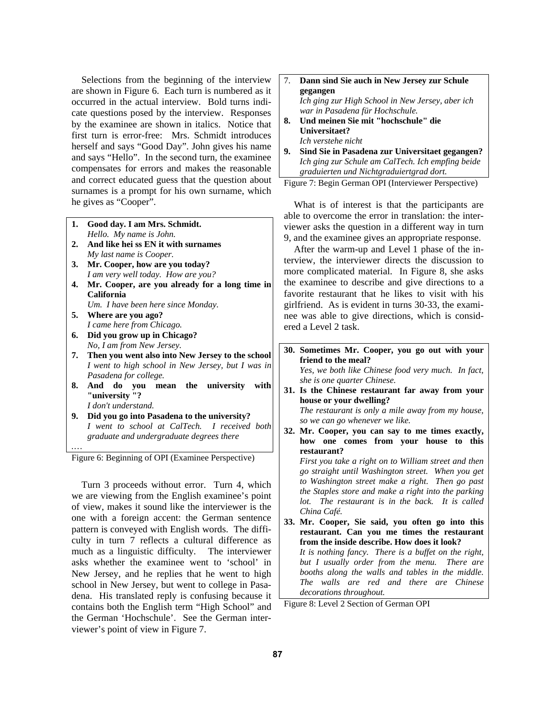Selections from the beginning of the interview are shown in Figure 6. Each turn is numbered as it occurred in the actual interview. Bold turns indicate questions posed by the interview. Responses by the examinee are shown in italics. Notice that first turn is error-free: Mrs. Schmidt introduces herself and says "Good Day". John gives his name and says "Hello". In the second turn, the examinee compensates for errors and makes the reasonable and correct educated guess that the question about surnames is a prompt for his own surname, which he gives as "Cooper".

- **1. Good day. I am Mrs. Schmidt.**   *Hello. My name is John.*
- **2. And like hei ss EN it with surnames**   *My last name is Cooper.*
- **3. Mr. Cooper, how are you today?**   *I am very well today. How are you?*
- **4. Mr. Cooper, are you already for a long time in California**   *Um. I have been here since Monday.*
- **5. Where are you ago?** 
	- *I came here from Chicago.*
- **6. Did you grow up in Chicago?**   *No, I am from New Jersey.*

*.*…

- **7. Then you went also into New Jersey to the school**   *I went to high school in New Jersey, but I was in Pasadena for college.*
- **8. And do you mean the university with "university "?**   *I don't understand.*
- **9. Did you go into Pasadena to the university?**   *I went to school at CalTech. I received both graduate and undergraduate degrees there*

Figure 6: Beginning of OPI (Examinee Perspective)

Turn 3 proceeds without error. Turn 4, which we are viewing from the English examinee's point of view, makes it sound like the interviewer is the one with a foreign accent: the German sentence pattern is conveyed with English words. The difficulty in turn 7 reflects a cultural difference as much as a linguistic difficulty. The interviewer asks whether the examinee went to 'school' in New Jersey, and he replies that he went to high school in New Jersey, but went to college in Pasadena. His translated reply is confusing because it contains both the English term "High School" and the German 'Hochschule'. See the German interviewer's point of view in Figure 7.

# 7. **Dann sind Sie auch in New Jersey zur Schule gegangen**   *Ich ging zur High School in New Jersey, aber ich war in Pasadena für Hochschule.*  **8. Und meinen Sie mit "hochschule" die**

- **Universitaet?**   *Ich verstehe nicht*
- **9. Sind Sie in Pasadena zur Universitaet gegangen?**   *Ich ging zur Schule am CalTech. Ich empfing beide graduierten und Nichtgraduiertgrad dort.*

Figure 7: Begin German OPI (Interviewer Perspective)

What is of interest is that the participants are able to overcome the error in translation: the interviewer asks the question in a different way in turn 9, and the examinee gives an appropriate response.

After the warm-up and Level 1 phase of the interview, the interviewer directs the discussion to more complicated material. In Figure 8, she asks the examinee to describe and give directions to a favorite restaurant that he likes to visit with his girlfriend. As is evident in turns 30-33, the examinee was able to give directions, which is considered a Level 2 task.

**30. Sometimes Mr. Cooper, you go out with your friend to the meal?** 

 *Yes, we both like Chinese food very much. In fact, she is one quarter Chinese.* 

- **31. Is the Chinese restaurant far away from your house or your dwelling?**   *The restaurant is only a mile away from my house, so we can go whenever we like.*
- **32. Mr. Cooper, you can say to me times exactly, how one comes from your house to this restaurant?**

 *First you take a right on to William street and then go straight until Washington street. When you get to Washington street make a right. Then go past the Staples store and make a right into the parking lot. The restaurant is in the back. It is called China Café.* 

**33. Mr. Cooper, Sie said, you often go into this restaurant. Can you me times the restaurant from the inside describe. How does it look?**   *It is nothing fancy. There is a buffet on the right, but I usually order from the menu. There are booths along the walls and tables in the middle. The walls are red and there are Chinese decorations throughout.* 

Figure 8: Level 2 Section of German OPI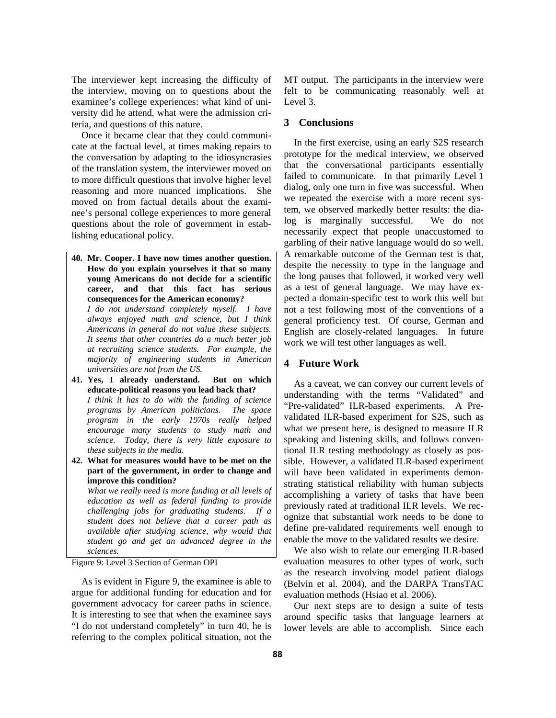The interviewer kept increasing the difficulty of the interview, moving on to questions about the examinee's college experiences: what kind of university did he attend, what were the admission criteria, and questions of this nature.

Once it became clear that they could communicate at the factual level, at times making repairs to the conversation by adapting to the idiosyncrasies of the translation system, the interviewer moved on to more difficult questions that involve higher level reasoning and more nuanced implications. She moved on from factual details about the examinee's personal college experiences to more general questions about the role of government in establishing educational policy.

**40. Mr. Cooper. I have now times another question. How do you explain yourselves it that so many young Americans do not decide for a scientific career, and that this fact has serious consequences for the American economy?** 

 *I do not understand completely myself. I have always enjoyed math and science, but I think Americans in general do not value these subjects. It seems that other countries do a much better job at recruiting science students. For example, the majority of engineering students in American universities are not from the US.* 

- **41. Yes, I already understand. But on which educate-political reasons you lead back that?**   *I think it has to do with the funding of science programs by American politicians. The space program in the early 1970s really helped encourage many students to study math and science. Today, there is very little exposure to these subjects in the media.*
- **42. What for measures would have to be met on the part of the government, in order to change and improve this condition?**

 *What we really need is more funding at all levels of education as well as federal funding to provide challenging jobs for graduating students. If a student does not believe that a career path as available after studying science, why would that student go and get an advanced degree in the sciences.* 

Figure 9: Level 3 Section of German OPI

As is evident in Figure 9, the examinee is able to argue for additional funding for education and for government advocacy for career paths in science. It is interesting to see that when the examinee says "I do not understand completely" in turn 40, he is referring to the complex political situation, not the MT output. The participants in the interview were felt to be communicating reasonably well at Level 3.

#### **3 Conclusions**

In the first exercise, using an early S2S research prototype for the medical interview, we observed that the conversational participants essentially failed to communicate. In that primarily Level 1 dialog, only one turn in five was successful. When we repeated the exercise with a more recent system, we observed markedly better results: the dialog is marginally successful. We do not necessarily expect that people unaccustomed to garbling of their native language would do so well. A remarkable outcome of the German test is that, despite the necessity to type in the language and the long pauses that followed, it worked very well as a test of general language. We may have expected a domain-specific test to work this well but not a test following most of the conventions of a general proficiency test. Of course, German and English are closely-related languages. In future work we will test other languages as well.

#### **4 Future Work**

As a caveat, we can convey our current levels of understanding with the terms "Validated" and "Pre-validated" ILR-based experiments. A Prevalidated ILR-based experiment for S2S, such as what we present here, is designed to measure ILR speaking and listening skills, and follows conventional ILR testing methodology as closely as possible. However, a validated ILR-based experiment will have been validated in experiments demonstrating statistical reliability with human subjects accomplishing a variety of tasks that have been previously rated at traditional ILR levels. We recognize that substantial work needs to be done to define pre-validated requirements well enough to enable the move to the validated results we desire.

We also wish to relate our emerging ILR-based evaluation measures to other types of work, such as the research involving model patient dialogs (Belvin et al. 2004), and the DARPA TransTAC evaluation methods (Hsiao et al. 2006).

Our next steps are to design a suite of tests around specific tasks that language learners at lower levels are able to accomplish. Since each